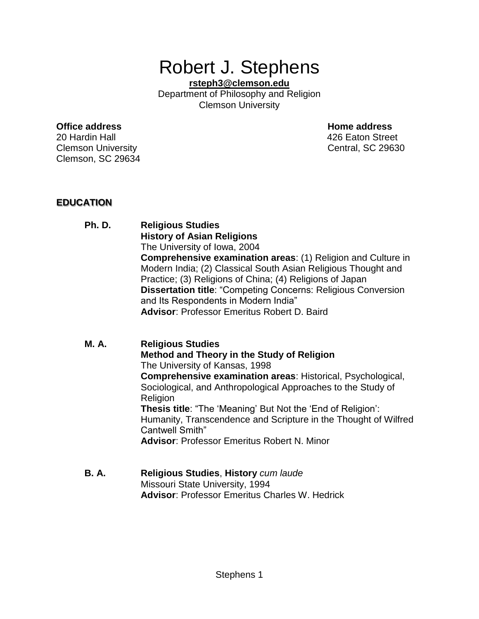# Robert J. Stephens

**[rsteph3@clemson.edu](mailto:rsteph3@clemson.edu)** Department of Philosophy and Religion Clemson University

#### **Office address Home address**

20 Hardin Hall 426 Eaton Street Clemson University Central, SC 29630 Clemson, SC 29634

# **EDUCATION**

#### **Ph. D. Religious Studies History of Asian Religions** The University of Iowa, 2004 **Comprehensive examination areas**: (1) Religion and Culture in Modern India; (2) Classical South Asian Religious Thought and Practice; (3) Religions of China; (4) Religions of Japan **Dissertation title**: "Competing Concerns: Religious Conversion and Its Respondents in Modern India" **Advisor**: Professor Emeritus Robert D. Baird

#### **M. A. Religious Studies**

**Method and Theory in the Study of Religion** The University of Kansas, 1998 **Comprehensive examination areas**: Historical, Psychological, Sociological, and Anthropological Approaches to the Study of Religion **Thesis title**: "The 'Meaning' But Not the 'End of Religion': Humanity, Transcendence and Scripture in the Thought of Wilfred Cantwell Smith" **Advisor**: Professor Emeritus Robert N. Minor

#### **B. A. Religious Studies**, **History** *cum laude* Missouri State University, 1994 **Advisor**: Professor Emeritus Charles W. Hedrick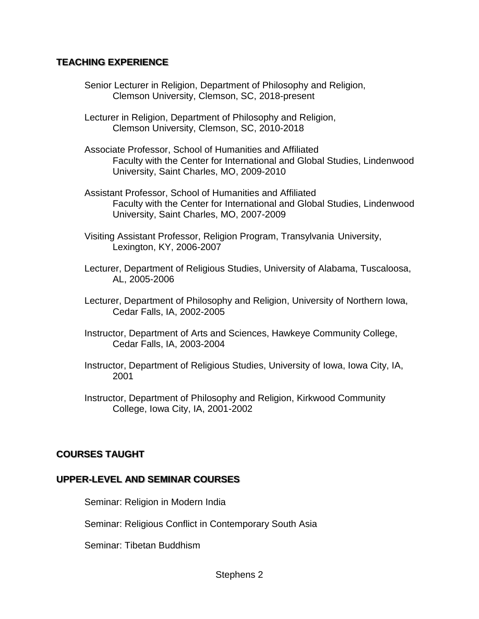#### **TEACHING EXPERIENCE**

- Senior Lecturer in Religion, Department of Philosophy and Religion, Clemson University, Clemson, SC, 2018-present
- Lecturer in Religion, Department of Philosophy and Religion, Clemson University, Clemson, SC, 2010-2018
- Associate Professor, School of Humanities and Affiliated Faculty with the Center for International and Global Studies, Lindenwood University, Saint Charles, MO, 2009-2010
- Assistant Professor, School of Humanities and Affiliated Faculty with the Center for International and Global Studies, Lindenwood University, Saint Charles, MO, 2007-2009
- Visiting Assistant Professor, Religion Program, Transylvania University, Lexington, KY, 2006-2007
- Lecturer, Department of Religious Studies, University of Alabama, Tuscaloosa, AL, 2005-2006
- Lecturer, Department of Philosophy and Religion, University of Northern Iowa, Cedar Falls, IA, 2002-2005
- Instructor, Department of Arts and Sciences, Hawkeye Community College, Cedar Falls, IA, 2003-2004
- Instructor, Department of Religious Studies, University of Iowa, Iowa City, IA, 2001
- Instructor, Department of Philosophy and Religion, Kirkwood Community College, Iowa City, IA, 2001-2002

# **COURSES TAUGHT**

#### **UPPER-LEVEL AND SEMINAR COURSES**

Seminar: Religion in Modern India

Seminar: Religious Conflict in Contemporary South Asia

Seminar: Tibetan Buddhism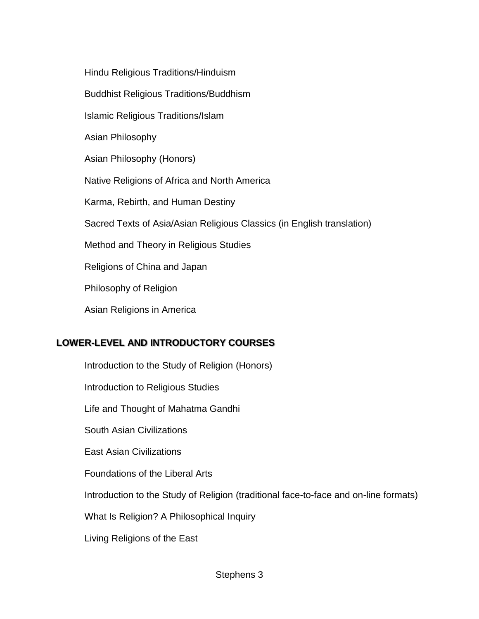Hindu Religious Traditions/Hinduism

Buddhist Religious Traditions/Buddhism

Islamic Religious Traditions/Islam

Asian Philosophy

Asian Philosophy (Honors)

Native Religions of Africa and North America

Karma, Rebirth, and Human Destiny

Sacred Texts of Asia/Asian Religious Classics (in English translation)

Method and Theory in Religious Studies

Religions of China and Japan

Philosophy of Religion

Asian Religions in America

# **LOWER-LEVEL AND INTRODUCTORY COURSES**

Introduction to the Study of Religion (Honors) Introduction to Religious Studies Life and Thought of Mahatma Gandhi South Asian Civilizations East Asian Civilizations Foundations of the Liberal Arts Introduction to the Study of Religion (traditional face-to-face and on-line formats) What Is Religion? A Philosophical Inquiry

Living Religions of the East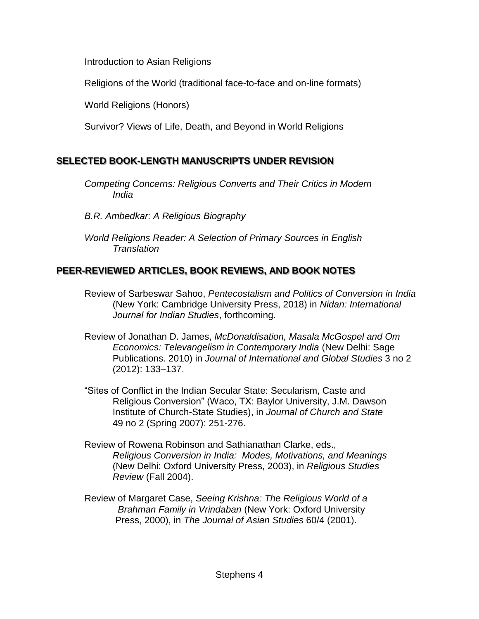Introduction to Asian Religions

Religions of the World (traditional face-to-face and on-line formats)

World Religions (Honors)

Survivor? Views of Life, Death, and Beyond in World Religions

# **SELECTED BOOK-LENGTH MANUSCRIPTS UNDER REVISION**

*Competing Concerns: Religious Converts and Their Critics in Modern India*

*B.R. Ambedkar: A Religious Biography*

*World Religions Reader: A Selection of Primary Sources in English Translation*

# **PEER-REVIEWED ARTICLES, BOOK REVIEWS, AND BOOK NOTES**

- Review of Sarbeswar Sahoo, *Pentecostalism and Politics of Conversion in India*  (New York: Cambridge University Press, 2018) in *Nidan: International Journal for Indian Studies*, forthcoming.
- Review of Jonathan D. James, *McDonaldisation, Masala McGospel and Om Economics: Televangelism in Contemporary India* (New Delhi: Sage Publications. 2010) in *Journal of International and Global Studies* 3 no 2 (2012): 133–137.
- "Sites of Conflict in the Indian Secular State: Secularism, Caste and Religious Conversion" (Waco, TX: Baylor University, J.M. Dawson Institute of Church-State Studies), in *Journal of Church and State* 49 no 2 (Spring 2007): 251-276.
- Review of Rowena Robinson and Sathianathan Clarke, eds., *Religious Conversion in India: Modes, Motivations, and Meanings*  (New Delhi: Oxford University Press, 2003), in *Religious Studies Review* (Fall 2004).
- Review of Margaret Case, *Seeing Krishna: The Religious World of a Brahman Family in Vrindaban* (New York: Oxford University Press, 2000), in *The Journal of Asian Studies* 60/4 (2001).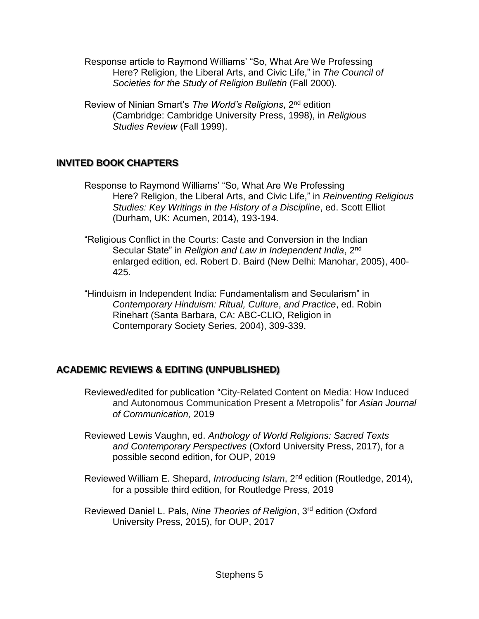Response article to Raymond Williams' "So, What Are We Professing Here? Religion, the Liberal Arts, and Civic Life," in *The Council of Societies for the Study of Religion Bulletin* (Fall 2000).

Review of Ninian Smart's *The World's Religions*, 2nd edition (Cambridge: Cambridge University Press, 1998), in *Religious Studies Review* (Fall 1999).

# **INVITED BOOK CHAPTERS**

- Response to Raymond Williams' "So, What Are We Professing Here? Religion, the Liberal Arts, and Civic Life," in *Reinventing Religious Studies: Key Writings in the History of a Discipline*, ed. Scott Elliot (Durham, UK: Acumen, 2014), 193-194.
- "Religious Conflict in the Courts: Caste and Conversion in the Indian Secular State" in *Religion and Law in Independent India*, 2nd enlarged edition, ed. Robert D. Baird (New Delhi: Manohar, 2005), 400- 425.
- "Hinduism in Independent India: Fundamentalism and Secularism" in *Contemporary Hinduism: Ritual, Culture*, *and Practice*, ed. Robin Rinehart (Santa Barbara, CA: ABC-CLIO, Religion in Contemporary Society Series, 2004), 309-339.

# **ACADEMIC REVIEWS & EDITING (UNPUBLISHED)**

- Reviewed/edited for publication "City-Related Content on Media: How Induced and Autonomous Communication Present a Metropolis" for *Asian Journal of Communication,* 2019
- Reviewed Lewis Vaughn, ed. *Anthology of World Religions: Sacred Texts and Contemporary Perspectives* (Oxford University Press, 2017), for a possible second edition, for OUP, 2019
- Reviewed William E. Shepard, *Introducing Islam*, 2nd edition (Routledge, 2014), for a possible third edition, for Routledge Press, 2019
- Reviewed Daniel L. Pals, *Nine Theories of Religion*, 3rd edition (Oxford University Press, 2015), for OUP, 2017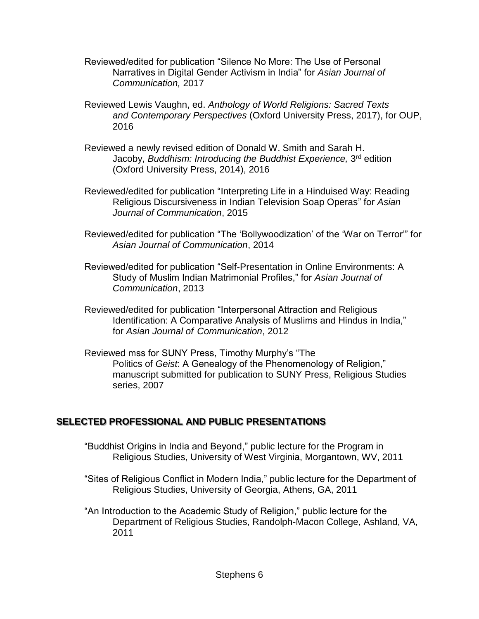- Reviewed/edited for publication "Silence No More: The Use of Personal Narratives in Digital Gender Activism in India" for *Asian Journal of Communication,* 2017
- Reviewed Lewis Vaughn, ed. *Anthology of World Religions: Sacred Texts and Contemporary Perspectives* (Oxford University Press, 2017), for OUP, 2016
- Reviewed a newly revised edition of Donald W. Smith and Sarah H. Jacoby, *Buddhism: Introducing the Buddhist Experience,* 3 rd edition (Oxford University Press, 2014), 2016
- Reviewed/edited for publication "Interpreting Life in a Hinduised Way: Reading Religious Discursiveness in Indian Television Soap Operas" for *Asian Journal of Communication*, 2015
- Reviewed/edited for publication "The 'Bollywoodization' of the 'War on Terror'" for *Asian Journal of Communication*, 2014
- Reviewed/edited for publication "Self-Presentation in Online Environments: A Study of Muslim Indian Matrimonial Profiles," for *Asian Journal of Communication*, 2013
- Reviewed/edited for publication "Interpersonal Attraction and Religious Identification: A Comparative Analysis of Muslims and Hindus in India," for *Asian Journal of Communication*, 2012
- Reviewed mss for SUNY Press, Timothy Murphy's "The Politics of *Geist*: A Genealogy of the Phenomenology of Religion," manuscript submitted for publication to SUNY Press, Religious Studies series, 2007

# **SELECTED PROFESSIONAL AND PUBLIC PRESENTATIONS**

- "Buddhist Origins in India and Beyond," public lecture for the Program in Religious Studies, University of West Virginia, Morgantown, WV, 2011
- "Sites of Religious Conflict in Modern India," public lecture for the Department of Religious Studies, University of Georgia, Athens, GA, 2011
- "An Introduction to the Academic Study of Religion," public lecture for the Department of Religious Studies, Randolph-Macon College, Ashland, VA, 2011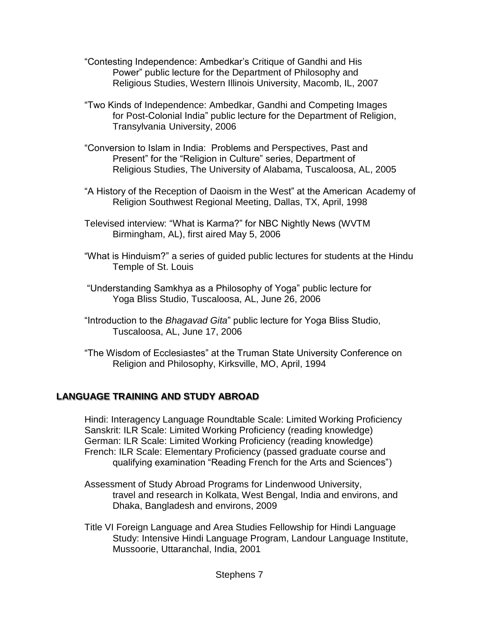- "Contesting Independence: Ambedkar's Critique of Gandhi and His Power" public lecture for the Department of Philosophy and Religious Studies, Western Illinois University, Macomb, IL, 2007
- "Two Kinds of Independence: Ambedkar, Gandhi and Competing Images for Post-Colonial India" public lecture for the Department of Religion, Transylvania University, 2006
- "Conversion to Islam in India: Problems and Perspectives, Past and Present" for the "Religion in Culture" series, Department of Religious Studies, The University of Alabama, Tuscaloosa, AL, 2005
- "A History of the Reception of Daoism in the West" at the American Academy of Religion Southwest Regional Meeting, Dallas, TX, April, 1998
- Televised interview: "What is Karma?" for NBC Nightly News (WVTM Birmingham, AL), first aired May 5, 2006
- "What is Hinduism?" a series of guided public lectures for students at the Hindu Temple of St. Louis
- "Understanding Samkhya as a Philosophy of Yoga" public lecture for Yoga Bliss Studio, Tuscaloosa, AL, June 26, 2006
- "Introduction to the *Bhagavad Gita*" public lecture for Yoga Bliss Studio, Tuscaloosa, AL, June 17, 2006
- "The Wisdom of Ecclesiastes" at the Truman State University Conference on Religion and Philosophy, Kirksville, MO, April, 1994

# **LANGUAGE TRAINING AND STUDY ABROAD**

Hindi: Interagency Language Roundtable Scale: Limited Working Proficiency Sanskrit: ILR Scale: Limited Working Proficiency (reading knowledge) German: ILR Scale: Limited Working Proficiency (reading knowledge) French: ILR Scale: Elementary Proficiency (passed graduate course and qualifying examination "Reading French for the Arts and Sciences")

- Assessment of Study Abroad Programs for Lindenwood University, travel and research in Kolkata, West Bengal, India and environs, and Dhaka, Bangladesh and environs, 2009
- Title VI Foreign Language and Area Studies Fellowship for Hindi Language Study: Intensive Hindi Language Program, Landour Language Institute, Mussoorie, Uttaranchal, India, 2001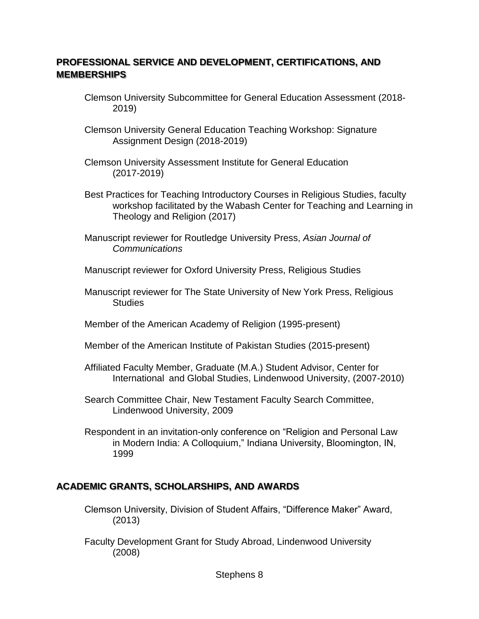# **PROFESSIONAL SERVICE AND DEVELOPMENT, CERTIFICATIONS, AND MEMBERSHIPS**

- Clemson University Subcommittee for General Education Assessment (2018- 2019)
- Clemson University General Education Teaching Workshop: Signature Assignment Design (2018-2019)
- Clemson University Assessment Institute for General Education (2017-2019)
- Best Practices for Teaching Introductory Courses in Religious Studies, faculty workshop facilitated by the Wabash Center for Teaching and Learning in Theology and Religion (2017)
- Manuscript reviewer for Routledge University Press, *Asian Journal of Communications*
- Manuscript reviewer for Oxford University Press, Religious Studies
- Manuscript reviewer for The State University of New York Press, Religious **Studies**
- Member of the American Academy of Religion (1995-present)
- Member of the American Institute of Pakistan Studies (2015-present)
- Affiliated Faculty Member, Graduate (M.A.) Student Advisor, Center for International and Global Studies, Lindenwood University, (2007-2010)
- Search Committee Chair, New Testament Faculty Search Committee, Lindenwood University, 2009
- Respondent in an invitation-only conference on "Religion and Personal Law in Modern India: A Colloquium," Indiana University, Bloomington, IN, 1999

# **ACADEMIC GRANTS, SCHOLARSHIPS, AND AWARDS**

- Clemson University, Division of Student Affairs, "Difference Maker" Award, (2013)
- Faculty Development Grant for Study Abroad, Lindenwood University (2008)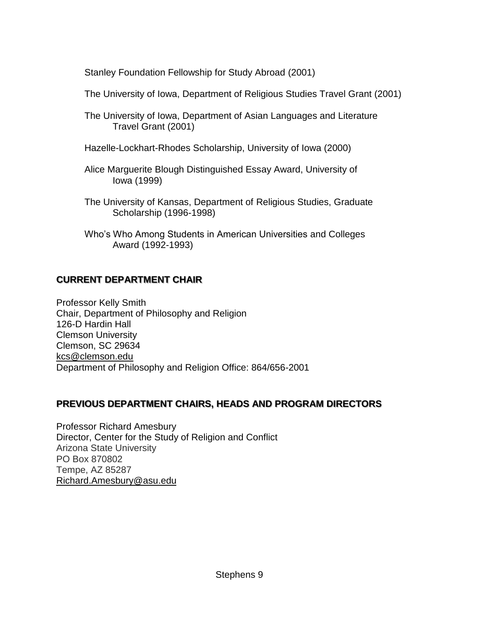Stanley Foundation Fellowship for Study Abroad (2001)

The University of Iowa, Department of Religious Studies Travel Grant (2001)

- The University of Iowa, Department of Asian Languages and Literature Travel Grant (2001)
- Hazelle-Lockhart-Rhodes Scholarship, University of Iowa (2000)
- Alice Marguerite Blough Distinguished Essay Award, University of Iowa (1999)
- The University of Kansas, Department of Religious Studies, Graduate Scholarship (1996-1998)
- Who's Who Among Students in American Universities and Colleges Award (1992-1993)

# **CURRENT DEPARTMENT CHAIR**

Professor Kelly Smith Chair, Department of Philosophy and Religion 126-D Hardin Hall Clemson University Clemson, SC 29634 kc[s@clemson.edu](mailto:cstarke@clemson.edu) Department of Philosophy and Religion Office: 864/656-2001

# **PREVIOUS DEPARTMENT CHAIRS, HEADS AND PROGRAM DIRECTORS**

Professor Richard Amesbury Director, Center for the Study of Religion and Conflict Arizona State University PO Box 870802 Tempe, AZ 85287 Richard.Amesbur[y@asu.edu](mailto:cstarke@clemson.edu)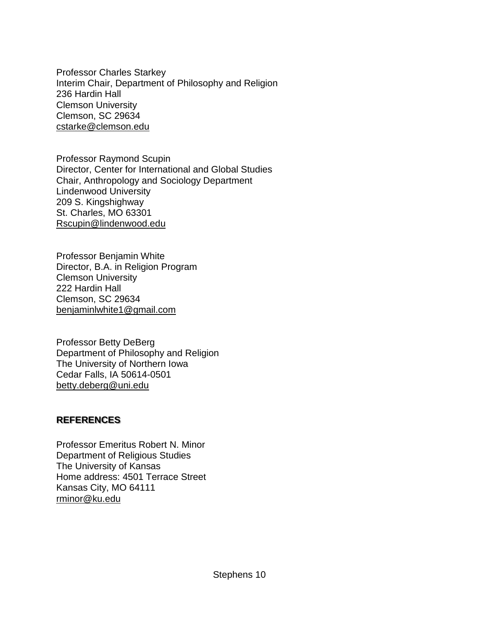Professor Charles Starkey Interim Chair, Department of Philosophy and Religion 236 Hardin Hall Clemson University Clemson, SC 29634 [cstarke@clemson.edu](mailto:cstarke@clemson.edu)

Professor Raymond Scupin Director, Center for International and Global Studies Chair, Anthropology and Sociology Department Lindenwood University 209 S. Kingshighway St. Charles, MO 63301 [Rscupin@lindenwood.edu](mailto:Rscupin@lindenwood.edu)

Professor Benjamin White Director, B.A. in Religion Program Clemson University 222 Hardin Hall Clemson, SC 29634 benjaminlwhite1@gmail.com

Professor Betty DeBerg Department of Philosophy and Religion The University of Northern Iowa Cedar Falls, IA 50614-0501 [betty.deberg@uni.edu](mailto:betty.deberg@uni.edu)

#### **REFERENCES**

Professor Emeritus Robert N. Minor Department of Religious Studies The University of Kansas Home address: 4501 Terrace Street Kansas City, MO 64111 [rminor@ku.edu](mailto:rminor@ku.edu)